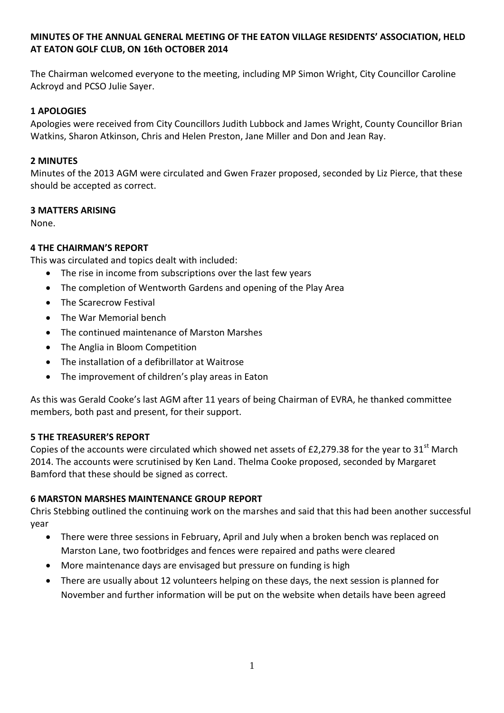# **MINUTES OF THE ANNUAL GENERAL MEETING OF THE EATON VILLAGE RESIDENTS' ASSOCIATION, HELD AT EATON GOLF CLUB, ON 16th OCTOBER 2014**

The Chairman welcomed everyone to the meeting, including MP Simon Wright, City Councillor Caroline Ackroyd and PCSO Julie Sayer.

# **1 APOLOGIES**

Apologies were received from City Councillors Judith Lubbock and James Wright, County Councillor Brian Watkins, Sharon Atkinson, Chris and Helen Preston, Jane Miller and Don and Jean Ray.

### **2 MINUTES**

Minutes of the 2013 AGM were circulated and Gwen Frazer proposed, seconded by Liz Pierce, that these should be accepted as correct.

### **3 MATTERS ARISING**

None.

# **4 THE CHAIRMAN'S REPORT**

This was circulated and topics dealt with included:

- The rise in income from subscriptions over the last few years
- The completion of Wentworth Gardens and opening of the Play Area
- The Scarecrow Festival
- The War Memorial bench
- The continued maintenance of Marston Marshes
- The Anglia in Bloom Competition
- The installation of a defibrillator at Waitrose
- The improvement of children's play areas in Eaton

As this was Gerald Cooke's last AGM after 11 years of being Chairman of EVRA, he thanked committee members, both past and present, for their support.

#### **5 THE TREASURER'S REPORT**

Copies of the accounts were circulated which showed net assets of £2,279.38 for the year to 31<sup>st</sup> March 2014. The accounts were scrutinised by Ken Land. Thelma Cooke proposed, seconded by Margaret Bamford that these should be signed as correct.

#### **6 MARSTON MARSHES MAINTENANCE GROUP REPORT**

Chris Stebbing outlined the continuing work on the marshes and said that this had been another successful year

- There were three sessions in February, April and July when a broken bench was replaced on Marston Lane, two footbridges and fences were repaired and paths were cleared
- More maintenance days are envisaged but pressure on funding is high
- There are usually about 12 volunteers helping on these days, the next session is planned for November and further information will be put on the website when details have been agreed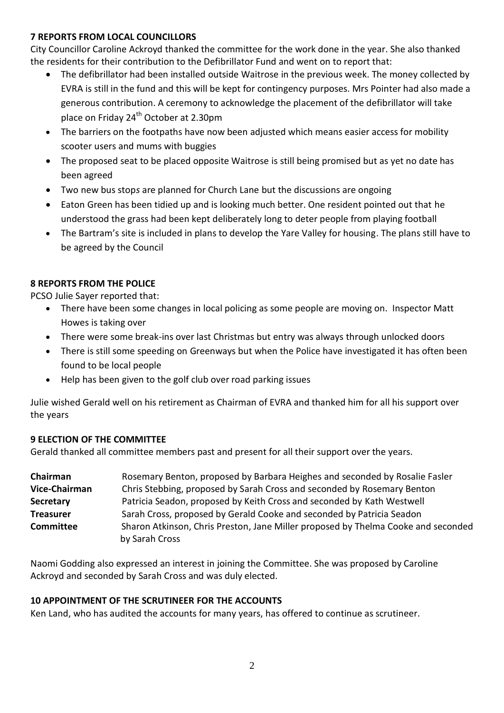### **7 REPORTS FROM LOCAL COUNCILLORS**

City Councillor Caroline Ackroyd thanked the committee for the work done in the year. She also thanked the residents for their contribution to the Defibrillator Fund and went on to report that:

- The defibrillator had been installed outside Waitrose in the previous week. The money collected by EVRA is still in the fund and this will be kept for contingency purposes. Mrs Pointer had also made a generous contribution. A ceremony to acknowledge the placement of the defibrillator will take place on Friday 24<sup>th</sup> October at 2.30pm
- The barriers on the footpaths have now been adjusted which means easier access for mobility scooter users and mums with buggies
- The proposed seat to be placed opposite Waitrose is still being promised but as yet no date has been agreed
- Two new bus stop*s* are planned for Church Lane but the discussions are ongoing
- Eaton Green has been tidied up and is looking much better. One resident pointed out that he understood the grass had been kept deliberately long to deter people from playing football
- The Bartram's site is included in plans to develop the Yare Valley for housing. The plans still have to be agreed by the Council

# **8 REPORTS FROM THE POLICE**

PCSO Julie Sayer reported that:

- There have been some changes in local policing as some people are moving on. Inspector Matt Howes is taking over
- There were some break-ins over last Christmas but entry was always through unlocked doors
- There is still some speeding on Greenways but when the Police have investigated it has often been found to be local people
- Help has been given to the golf club over road parking issues

Julie wished Gerald well on his retirement as Chairman of EVRA and thanked him for all his support over the years

# **9 ELECTION OF THE COMMITTEE**

Gerald thanked all committee members past and present for all their support over the years.

**Chairman** Rosemary Benton, proposed by Barbara Heighes and seconded by Rosalie Fasler **Vice-Chairman** Chris Stebbing, proposed by Sarah Cross and seconded by Rosemary Benton **Secretary** Patricia Seadon, proposed by Keith Cross and seconded by Kath Westwell **Treasurer** Sarah Cross, proposed by Gerald Cooke and seconded by Patricia Seadon **Committee** Sharon Atkinson, Chris Preston, Jane Miller proposed by Thelma Cooke and seconded by Sarah Cross

Naomi Godding also expressed an interest in joining the Committee. She was proposed by Caroline Ackroyd and seconded by Sarah Cross and was duly elected.

# **10 APPOINTMENT OF THE SCRUTINEER FOR THE ACCOUNTS**

Ken Land, who has audited the accounts for many years, has offered to continue as scrutineer.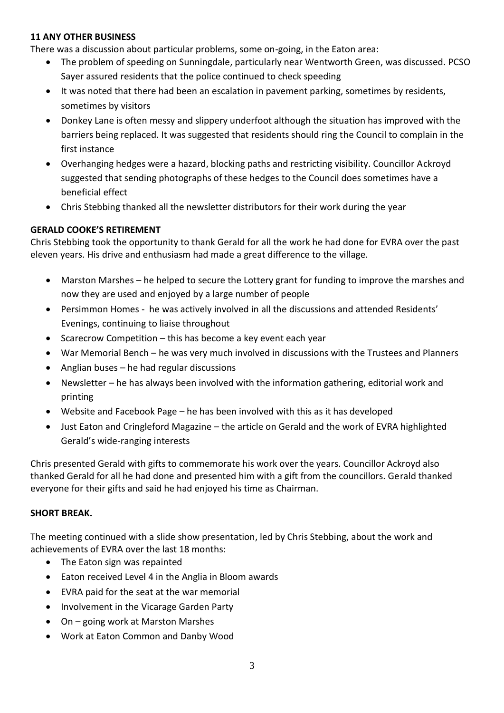### **11 ANY OTHER BUSINESS**

There was a discussion about particular problems, some on-going, in the Eaton area:

- The problem of speeding on Sunningdale, particularly near Wentworth Green, was discussed. PCSO Sayer assured residents that the police continued to check speeding
- It was noted that there had been an escalation in pavement parking, sometimes by residents, sometimes by visitors
- Donkey Lane is often messy and slippery underfoot although the situation has improved with the barriers being replaced. It was suggested that residents should ring the Council to complain in the first instance
- Overhanging hedges were a hazard, blocking paths and restricting visibility. Councillor Ackroyd suggested that sending photographs of these hedges to the Council does sometimes have a beneficial effect
- Chris Stebbing thanked all the newsletter distributors for their work during the year

# **GERALD COOKE'S RETIREMENT**

Chris Stebbing took the opportunity to thank Gerald for all the work he had done for EVRA over the past eleven years. His drive and enthusiasm had made a great difference to the village.

- Marston Marshes he helped to secure the Lottery grant for funding to improve the marshes and now they are used and enjoyed by a large number of people
- Persimmon Homes he was actively involved in all the discussions and attended Residents' Evenings, continuing to liaise throughout
- $\bullet$  Scarecrow Competition this has become a key event each year
- War Memorial Bench he was very much involved in discussions with the Trustees and Planners
- Anglian buses he had regular discussions
- Newsletter he has always been involved with the information gathering, editorial work and printing
- Website and Facebook Page he has been involved with this as it has developed
- Just Eaton and Cringleford Magazine the article on Gerald and the work of EVRA highlighted Gerald's wide-ranging interests

Chris presented Gerald with gifts to commemorate his work over the years. Councillor Ackroyd also thanked Gerald for all he had done and presented him with a gift from the councillors. Gerald thanked everyone for their gifts and said he had enjoyed his time as Chairman.

# **SHORT BREAK.**

The meeting continued with a slide show presentation, led by Chris Stebbing, about the work and achievements of EVRA over the last 18 months:

- The Eaton sign was repainted
- Eaton received Level 4 in the Anglia in Bloom awards
- EVRA paid for the seat at the war memorial
- Involvement in the Vicarage Garden Party
- On going work at Marston Marshes
- Work at Eaton Common and Danby Wood